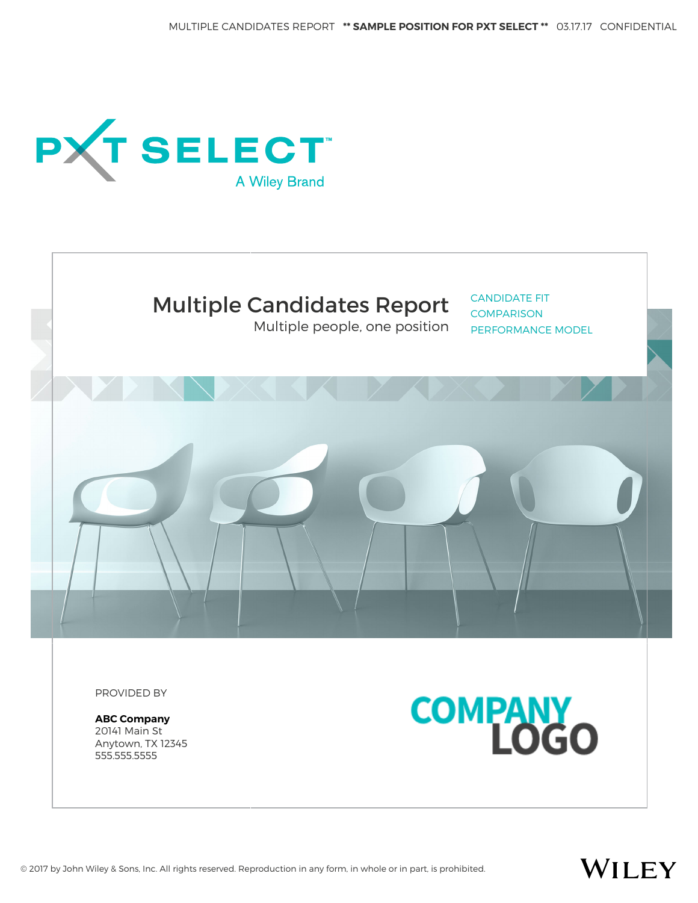



Multiple people, one position

CANDIDATE FIT **COMPARISON** PERFORMANCE MODEL



PROVIDED BY

**ABC Company** 20141 Main St Anytown, TX 12345 555.555.5555



WILEY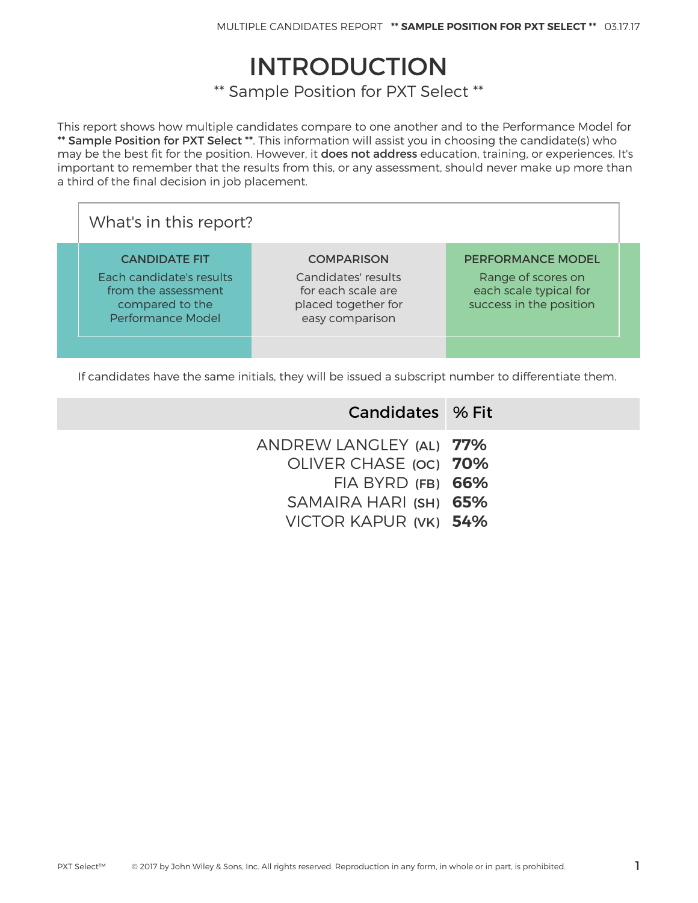# INTRODUCTION

\*\* Sample Position for PXT Select \*\*

This report shows how multiple candidates compare to one another and to the Performance Model for \*\* Sample Position for PXT Select \*\*. This information will assist you in choosing the candidate(s) who may be the best fit for the position. However, it does not address education, training, or experiences. It's important to remember that the results from this, or any assessment, should never make up more than a third of the final decision in job placement.

| What's in this report?                                                                                                 |                                                                                                          |                                                                                                     |  |  |  |  |  |  |
|------------------------------------------------------------------------------------------------------------------------|----------------------------------------------------------------------------------------------------------|-----------------------------------------------------------------------------------------------------|--|--|--|--|--|--|
| <b>CANDIDATE FIT</b><br>Each candidate's results<br>from the assessment<br>compared to the<br><b>Performance Model</b> | <b>COMPARISON</b><br>Candidates' results<br>for each scale are<br>placed together for<br>easy comparison | <b>PERFORMANCE MODEL</b><br>Range of scores on<br>each scale typical for<br>success in the position |  |  |  |  |  |  |
|                                                                                                                        |                                                                                                          |                                                                                                     |  |  |  |  |  |  |

If candidates have the same initials, they will be issued a subscript number to differentiate them.

| Candidates % Fit                                 |
|--------------------------------------------------|
| ANDREW LANGLEY (AL) 77%<br>OLIVER CHASE (OC) 70% |
| $FIA$ BYRD $(FB)$ 66%<br>SAMAIRA HARI (SH) 65%   |
| VICTOR KAPUR (VK) 54%                            |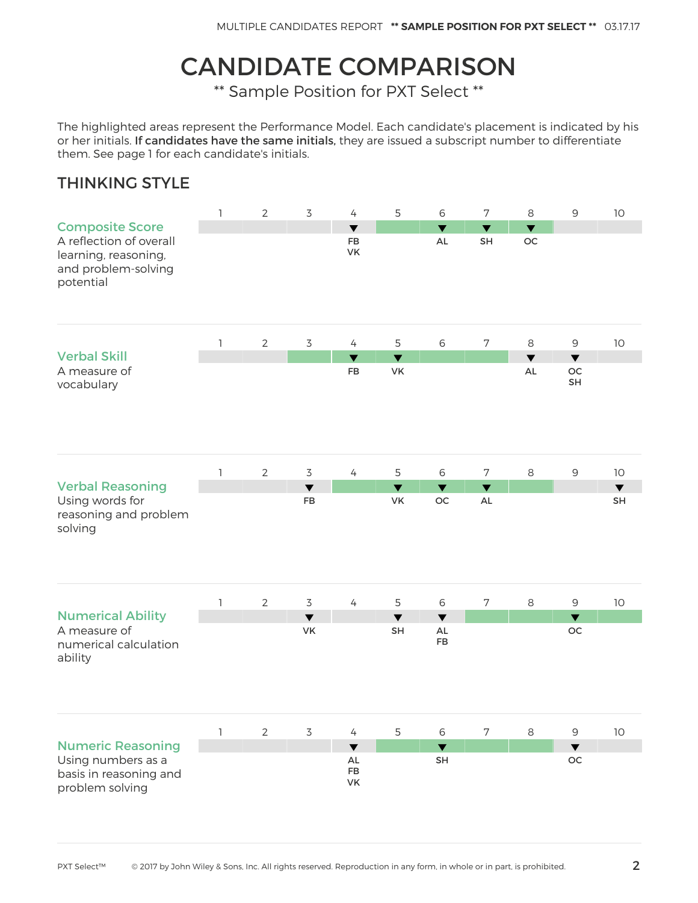# CANDIDATE COMPARISON

\*\* Sample Position for PXT Select \*\*

The highlighted areas represent the Performance Model. Each candidate's placement is indicated by his or her initials. If candidates have the same initials, they are issued a subscript number to differentiate them. See page 1 for each candidate's initials.

#### THINKING STYLE

|                                                                                                               | $\mathbf{1}$ | $\mathbf{2}$   | $\overline{3}$                    | $\overline{4}$                      | 5                          | 6                                | $\sqrt{ }$                            | 8                                      | $\mathsf 9$                                 | $10$                              |
|---------------------------------------------------------------------------------------------------------------|--------------|----------------|-----------------------------------|-------------------------------------|----------------------------|----------------------------------|---------------------------------------|----------------------------------------|---------------------------------------------|-----------------------------------|
| <b>Composite Score</b><br>A reflection of overall<br>learning, reasoning,<br>and problem-solving<br>potential |              |                |                                   | $\overline{\textbf{v}}$<br>FB<br>VK |                            | $\overline{\textbf{v}}$<br>AL    | $\blacktriangledown$<br>SH            | $\overline{\mathbf{v}}$<br>$_{\rm OC}$ |                                             |                                   |
|                                                                                                               | 1            | $\overline{2}$ | $\overline{3}$                    | $\overline{4}$                      | 5                          | $6\,$                            | $\sqrt{ }$                            | 8                                      | $\mathsf 9$                                 | 10                                |
| <b>Verbal Skill</b><br>A measure of<br>vocabulary                                                             |              |                |                                   | $\blacktriangledown$<br>FB          | $\blacktriangledown$<br>VK |                                  |                                       | $\blacktriangledown$<br>AL             | $\blacktriangledown$<br>$\mathsf{OC}$<br>SH |                                   |
|                                                                                                               | 1            | $\mathbf{2}$   | $\overline{3}$                    | $\overline{4}$                      | 5                          | $\,$ 6 $\,$                      | $\overline{7}$                        | 8                                      | $\mathsf 9$                                 | 10                                |
| <b>Verbal Reasoning</b><br>Using words for<br>reasoning and problem<br>solving                                |              |                | $\blacktriangledown$<br><b>FB</b> |                                     | $\blacktriangledown$<br>VK | $\blacktriangledown$<br>OC       | $\blacktriangledown$<br>$\mathsf{AL}$ |                                        |                                             | $\blacktriangledown$<br><b>SH</b> |
|                                                                                                               | $\mathbb{I}$ | $\overline{2}$ | 3                                 | $\overline{4}$                      | 5                          | $\,$ 6 $\,$                      | $\sqrt{ }$                            | $\,8\,$                                | $\mathsf 9$                                 | $10$                              |
| <b>Numerical Ability</b><br>A measure of<br>numerical calculation<br>ability                                  |              |                | $\blacktriangledown$<br>VK        |                                     | $\blacktriangledown$<br>SH | $\blacktriangledown$<br>AL<br>FB |                                       |                                        | $\blacktriangledown$<br>OC                  |                                   |
|                                                                                                               | 1            | $\overline{2}$ | $\overline{3}$                    | $\overline{4}$                      | 5                          | $\,$ 6 $\,$                      | $\sqrt{ }$                            | $\,8\,$                                | $\mathsf 9$                                 | $10$                              |
| <b>Numeric Reasoning</b>                                                                                      |              |                |                                   | $\blacktriangledown$                |                            | $\blacktriangledown$             |                                       |                                        | $\blacktriangledown$                        |                                   |
| Using numbers as a<br>basis in reasoning and<br>problem solving                                               |              |                |                                   | AL<br>FB<br>VK                      |                            | SH                               |                                       |                                        | OC                                          |                                   |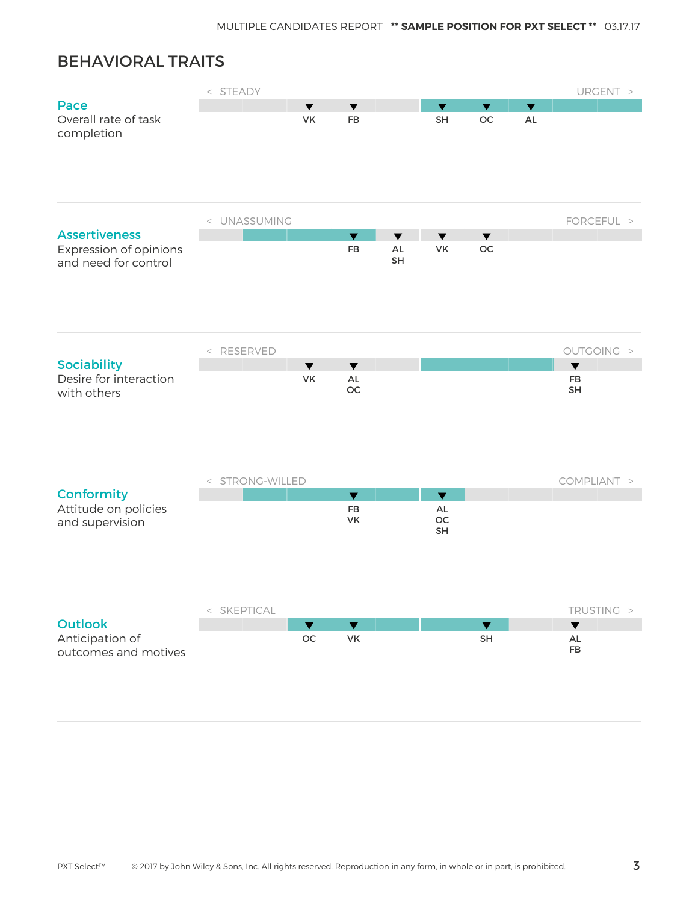#### BEHAVIORAL TRAITS

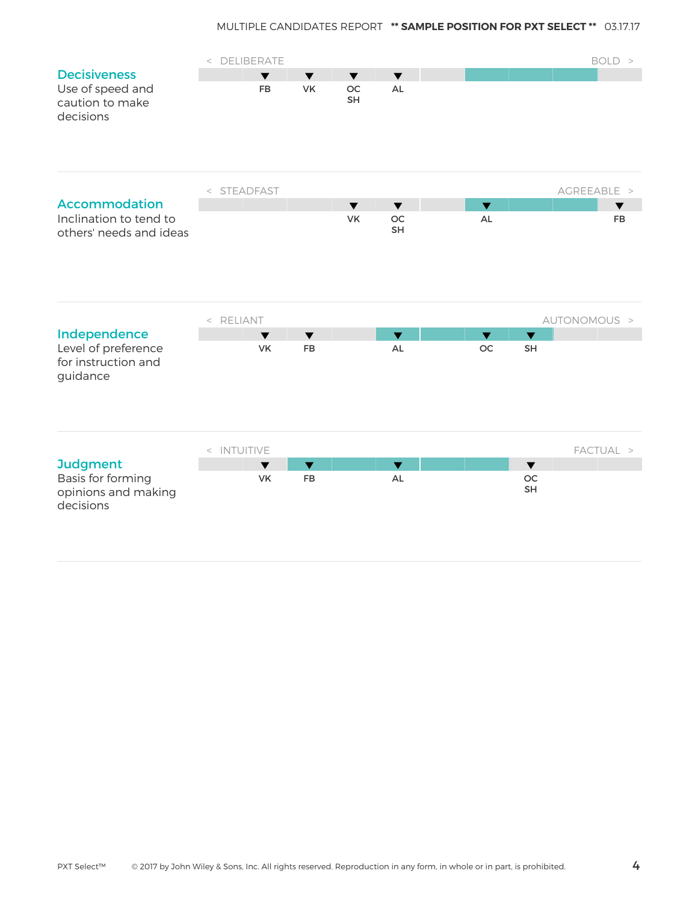|                                      | < DELIBERATE |                                   |                            |                      |                               |                         |                               | BOLD >       |
|--------------------------------------|--------------|-----------------------------------|----------------------------|----------------------|-------------------------------|-------------------------|-------------------------------|--------------|
| <b>Decisiveness</b>                  |              | $\blacktriangledown$              | $\blacktriangledown$       | $\blacktriangledown$ | $\blacktriangledown$          |                         |                               |              |
| Use of speed and                     |              | <b>FB</b>                         | VK                         | <b>OC</b>            | <b>AL</b>                     |                         |                               |              |
| caution to make                      |              |                                   |                            | SH                   |                               |                         |                               |              |
| decisions                            |              |                                   |                            |                      |                               |                         |                               |              |
|                                      |              |                                   |                            |                      |                               |                         |                               |              |
|                                      |              |                                   |                            |                      |                               |                         |                               |              |
|                                      |              |                                   |                            |                      |                               |                         |                               |              |
|                                      | < STEADFAST  |                                   |                            |                      |                               |                         |                               | AGREEABLE >  |
| <b>Accommodation</b>                 |              |                                   |                            | $\blacktriangledown$ | $\blacktriangledown$          | $\overline{\mathbf{v}}$ |                               | ▼            |
| Inclination to tend to               |              |                                   |                            | <b>VK</b>            | OC                            | <b>AL</b>               |                               | <b>FB</b>    |
| others' needs and ideas              |              |                                   |                            |                      | <b>SH</b>                     |                         |                               |              |
|                                      |              |                                   |                            |                      |                               |                         |                               |              |
|                                      |              |                                   |                            |                      |                               |                         |                               |              |
|                                      |              |                                   |                            |                      |                               |                         |                               |              |
|                                      |              |                                   |                            |                      |                               |                         |                               |              |
|                                      | < RELIANT    |                                   |                            |                      |                               |                         |                               | AUTONOMOUS > |
| Independence                         |              | $\blacktriangledown$              | $\blacktriangledown$       |                      | $\overline{\textbf{v}}$       | $\blacktriangledown$    | $\overline{\textbf{v}}$       |              |
| Level of preference                  |              | <b>VK</b>                         | FB                         |                      | AL                            | $_{\rm OC}$             | SH                            |              |
| for instruction and                  |              |                                   |                            |                      |                               |                         |                               |              |
| guidance                             |              |                                   |                            |                      |                               |                         |                               |              |
|                                      |              |                                   |                            |                      |                               |                         |                               |              |
|                                      |              |                                   |                            |                      |                               |                         |                               |              |
|                                      |              |                                   |                            |                      |                               |                         |                               |              |
|                                      |              |                                   |                            |                      |                               |                         |                               |              |
|                                      | < INTUITIVE  |                                   |                            |                      |                               |                         |                               | FACTUAL >    |
| <b>Judgment</b><br>Basis for forming |              | $\blacktriangledown$<br><b>VK</b> | $\blacktriangledown$<br>FB |                      | $\overline{\mathbf{v}}$<br>AL |                         | $\overline{\mathbf{v}}$<br>OC |              |
| opinions and making                  |              |                                   |                            |                      |                               |                         | SH                            |              |
| decisions                            |              |                                   |                            |                      |                               |                         |                               |              |
|                                      |              |                                   |                            |                      |                               |                         |                               |              |